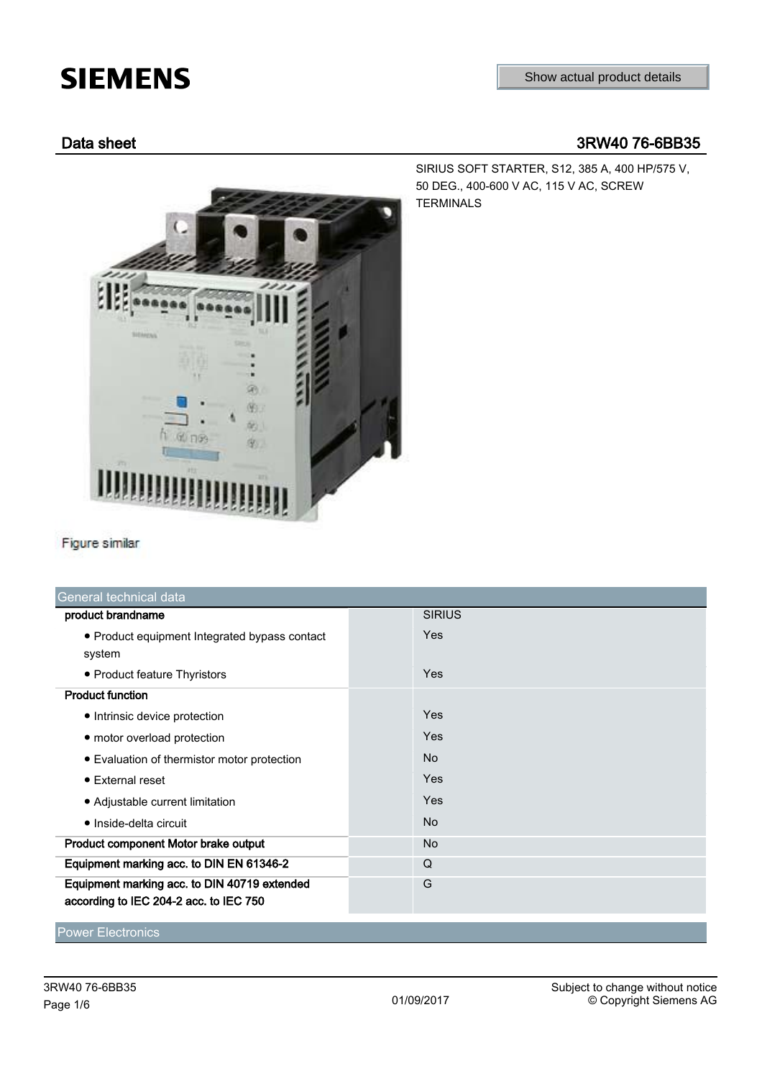# **SIEMENS**

## Data sheet 3RW40 76-6BB35



SIRIUS SOFT STARTER, S12, 385 A, 400 HP/575 V, 50 DEG., 400-600 V AC, 115 V AC, SCREW TERMINALS

#### Figure similar

| General technical data                                                                 |                |
|----------------------------------------------------------------------------------------|----------------|
| product brandname                                                                      | <b>SIRIUS</b>  |
| • Product equipment Integrated bypass contact<br>system                                | Yes            |
| • Product feature Thyristors                                                           | Yes            |
| <b>Product function</b>                                                                |                |
| • Intrinsic device protection                                                          | Yes            |
| • motor overload protection                                                            | Yes            |
| • Evaluation of thermistor motor protection                                            | N <sub>o</sub> |
| • External reset                                                                       | Yes            |
| • Adjustable current limitation                                                        | Yes            |
| $\bullet$ Inside-delta circuit                                                         | <b>No</b>      |
| Product component Motor brake output                                                   | <b>No</b>      |
| Equipment marking acc. to DIN EN 61346-2                                               | Q              |
| Equipment marking acc. to DIN 40719 extended<br>according to IEC 204-2 acc. to IEC 750 | G              |
|                                                                                        |                |

Power Electronics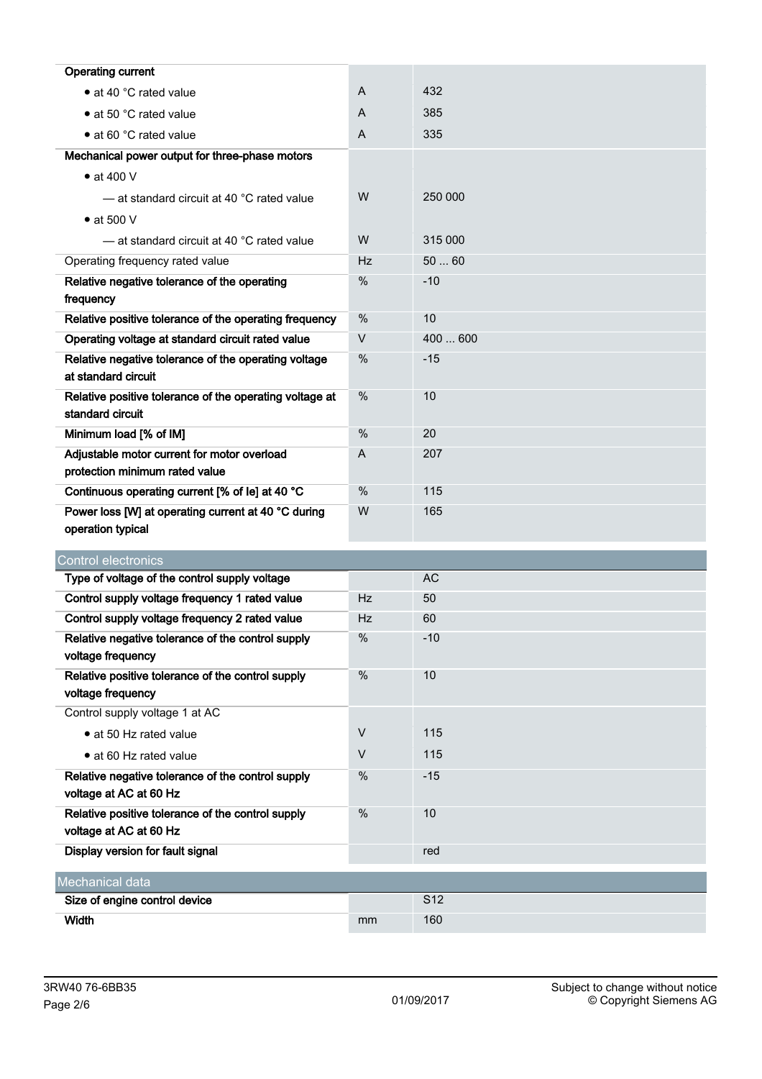| <b>Operating current</b>                                                    |                |                 |
|-----------------------------------------------------------------------------|----------------|-----------------|
| • at 40 °C rated value                                                      | A              | 432             |
| • at 50 °C rated value                                                      | A              | 385             |
| • at 60 °C rated value                                                      | A              | 335             |
| Mechanical power output for three-phase motors                              |                |                 |
| $\bullet$ at 400 V                                                          |                |                 |
| - at standard circuit at 40 °C rated value                                  | W              | 250 000         |
| $\bullet$ at 500 V                                                          |                |                 |
| $-$ at standard circuit at 40 $^{\circ}$ C rated value                      | W              | 315 000         |
| Operating frequency rated value                                             | <b>Hz</b>      | 5060            |
| Relative negative tolerance of the operating                                | $\%$           | $-10$           |
| frequency                                                                   |                |                 |
| Relative positive tolerance of the operating frequency                      | $\%$           | 10              |
| Operating voltage at standard circuit rated value                           | $\vee$         | 400  600        |
| Relative negative tolerance of the operating voltage<br>at standard circuit | %              | $-15$           |
| Relative positive tolerance of the operating voltage at<br>standard circuit | %              | 10              |
| Minimum load [% of IM]                                                      | $\%$           | 20              |
| Adjustable motor current for motor overload                                 | $\overline{A}$ | 207             |
| protection minimum rated value                                              |                |                 |
| Continuous operating current [% of le] at 40 °C                             | $\%$           | 115             |
| Power loss [W] at operating current at 40 °C during                         | W              | 165             |
| operation typical                                                           |                |                 |
| <b>Control electronics</b>                                                  |                |                 |
| Type of voltage of the control supply voltage                               |                | <b>AC</b>       |
| Control supply voltage frequency 1 rated value                              | Hz             | 50              |
| Control supply voltage frequency 2 rated value                              | Hz             | 60              |
| Relative negative tolerance of the control supply                           | $\%$           | $-10$           |
| voltage frequency                                                           |                |                 |
| Relative positive tolerance of the control supply                           | $\%$           | 10              |
| voltage frequency                                                           |                |                 |
| Control supply voltage 1 at AC                                              | $\vee$         |                 |
| • at 50 Hz rated value                                                      |                | 115             |
| • at 60 Hz rated value                                                      | $\vee$         | 115             |
| Relative negative tolerance of the control supply<br>voltage at AC at 60 Hz | %              | $-15$           |
| Relative positive tolerance of the control supply                           | $\%$           | 10              |
| voltage at AC at 60 Hz                                                      |                |                 |
| Display version for fault signal                                            |                | red             |
|                                                                             |                |                 |
| Mechanical data<br>Size of engine control device                            |                | S <sub>12</sub> |
| Width                                                                       | mm             | 160             |
|                                                                             |                |                 |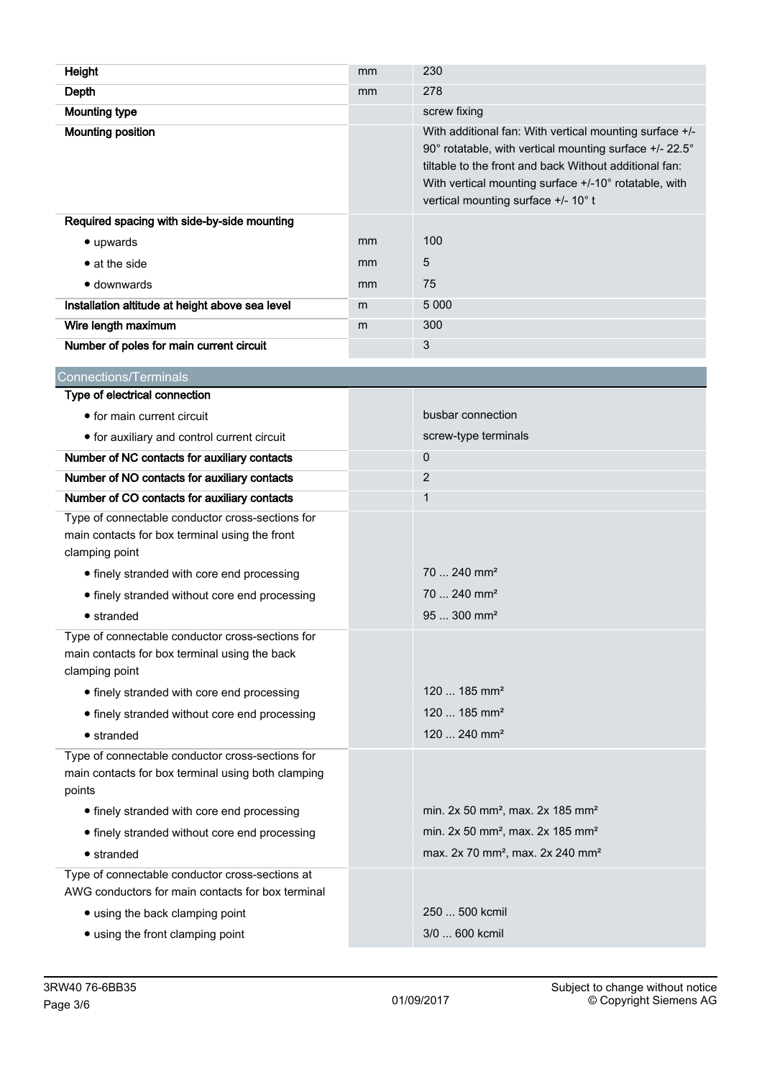| Height                                                                                                                                                             | mm | 230                                                                                                                                                                                                                                                                          |
|--------------------------------------------------------------------------------------------------------------------------------------------------------------------|----|------------------------------------------------------------------------------------------------------------------------------------------------------------------------------------------------------------------------------------------------------------------------------|
| Depth                                                                                                                                                              | mm | 278                                                                                                                                                                                                                                                                          |
| <b>Mounting type</b>                                                                                                                                               |    | screw fixing                                                                                                                                                                                                                                                                 |
| <b>Mounting position</b>                                                                                                                                           |    | With additional fan: With vertical mounting surface +/-<br>90° rotatable, with vertical mounting surface +/- 22.5°<br>tiltable to the front and back Without additional fan:<br>With vertical mounting surface +/-10° rotatable, with<br>vertical mounting surface +/- 10° t |
| Required spacing with side-by-side mounting                                                                                                                        |    |                                                                                                                                                                                                                                                                              |
| $\bullet$ upwards                                                                                                                                                  | mm | 100                                                                                                                                                                                                                                                                          |
| $\bullet$ at the side                                                                                                                                              | mm | 5                                                                                                                                                                                                                                                                            |
| • downwards                                                                                                                                                        | mm | 75                                                                                                                                                                                                                                                                           |
| Installation altitude at height above sea level                                                                                                                    | m  | 5 0 0 0                                                                                                                                                                                                                                                                      |
| Wire length maximum                                                                                                                                                | m  | 300                                                                                                                                                                                                                                                                          |
| Number of poles for main current circuit                                                                                                                           |    | 3                                                                                                                                                                                                                                                                            |
| <b>Connections/Terminals</b>                                                                                                                                       |    |                                                                                                                                                                                                                                                                              |
| Type of electrical connection                                                                                                                                      |    |                                                                                                                                                                                                                                                                              |
| • for main current circuit                                                                                                                                         |    | busbar connection                                                                                                                                                                                                                                                            |
| • for auxiliary and control current circuit                                                                                                                        |    | screw-type terminals                                                                                                                                                                                                                                                         |
| Number of NC contacts for auxiliary contacts                                                                                                                       |    | 0                                                                                                                                                                                                                                                                            |
| Number of NO contacts for auxiliary contacts                                                                                                                       |    | $\overline{2}$                                                                                                                                                                                                                                                               |
| Number of CO contacts for auxiliary contacts                                                                                                                       |    | $\mathbf 1$                                                                                                                                                                                                                                                                  |
| Type of connectable conductor cross-sections for<br>main contacts for box terminal using the front<br>clamping point<br>• finely stranded with core end processing |    | $70240$ mm <sup>2</sup>                                                                                                                                                                                                                                                      |
| • finely stranded without core end processing                                                                                                                      |    | $70240$ mm <sup>2</sup>                                                                                                                                                                                                                                                      |
| $\bullet$ stranded                                                                                                                                                 |    | $95300$ mm <sup>2</sup>                                                                                                                                                                                                                                                      |
| Type of connectable conductor cross-sections for<br>main contacts for box terminal using the back<br>clamping point                                                |    |                                                                                                                                                                                                                                                                              |
| • finely stranded with core end processing                                                                                                                         |    | 120  185 mm <sup>2</sup>                                                                                                                                                                                                                                                     |
| • finely stranded without core end processing                                                                                                                      |    | 120  185 mm <sup>2</sup>                                                                                                                                                                                                                                                     |
| $\bullet$ stranded                                                                                                                                                 |    | 120  240 mm <sup>2</sup>                                                                                                                                                                                                                                                     |
| Type of connectable conductor cross-sections for<br>main contacts for box terminal using both clamping<br>points                                                   |    |                                                                                                                                                                                                                                                                              |
| • finely stranded with core end processing                                                                                                                         |    | min. 2x 50 mm <sup>2</sup> , max. 2x 185 mm <sup>2</sup>                                                                                                                                                                                                                     |
| • finely stranded without core end processing                                                                                                                      |    | min. 2x 50 mm <sup>2</sup> , max. 2x 185 mm <sup>2</sup>                                                                                                                                                                                                                     |
| • stranded                                                                                                                                                         |    | max. 2x 70 mm <sup>2</sup> , max. 2x 240 mm <sup>2</sup>                                                                                                                                                                                                                     |
| Type of connectable conductor cross-sections at<br>AWG conductors for main contacts for box terminal                                                               |    |                                                                                                                                                                                                                                                                              |
| • using the back clamping point                                                                                                                                    |    | 250  500 kcmil                                                                                                                                                                                                                                                               |
| • using the front clamping point                                                                                                                                   |    | 3/0  600 kcmil                                                                                                                                                                                                                                                               |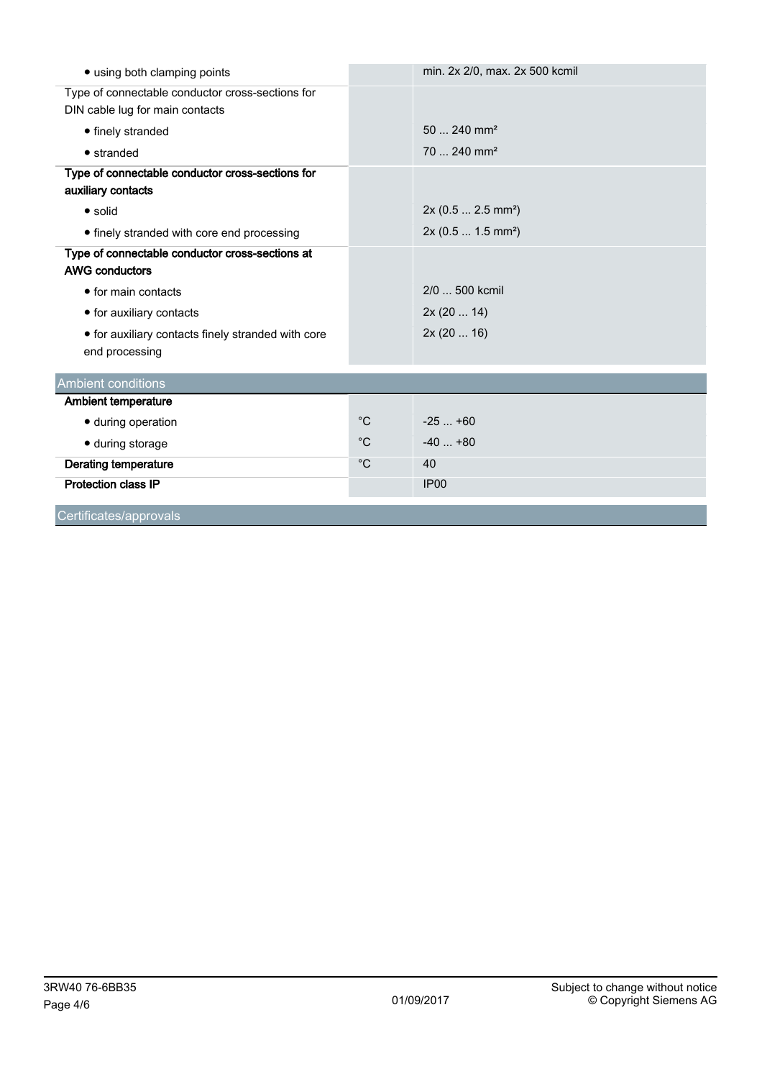| • using both clamping points                       |              | min. 2x 2/0, max. 2x 500 kcmil |
|----------------------------------------------------|--------------|--------------------------------|
| Type of connectable conductor cross-sections for   |              |                                |
| DIN cable lug for main contacts                    |              |                                |
| • finely stranded                                  |              | $50240$ mm <sup>2</sup>        |
| $\bullet$ stranded                                 |              | 70  240 mm <sup>2</sup>        |
| Type of connectable conductor cross-sections for   |              |                                |
| auxiliary contacts                                 |              |                                |
| $\bullet$ solid                                    |              | 2x (0.5  2.5 mm <sup>2</sup> ) |
| • finely stranded with core end processing         |              | 2x (0.5  1.5 mm <sup>2</sup> ) |
| Type of connectable conductor cross-sections at    |              |                                |
| <b>AWG conductors</b>                              |              |                                |
| • for main contacts                                |              | 2/0  500 kcmil                 |
| • for auxiliary contacts                           |              | 2x(2014)                       |
| • for auxiliary contacts finely stranded with core |              | 2x(2016)                       |
| end processing                                     |              |                                |
| <b>Ambient conditions</b>                          |              |                                |
|                                                    |              |                                |
| <b>Ambient temperature</b>                         |              |                                |
| • during operation                                 | $^{\circ}C$  | $-25+60$                       |
| • during storage                                   | $^{\circ}$ C | $-40+80$                       |
| <b>Derating temperature</b>                        | $^{\circ}C$  | 40                             |
| <b>Protection class IP</b>                         |              | IP <sub>00</sub>               |
| Certificates/approvals                             |              |                                |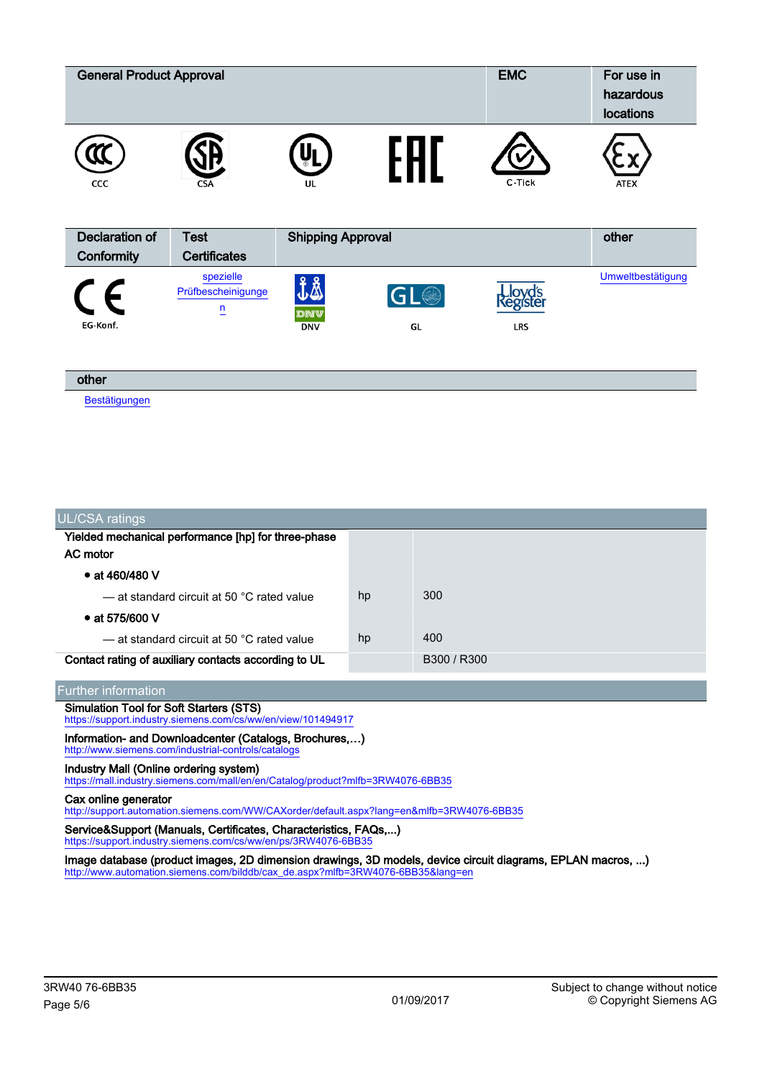| <b>General Product Approval</b> |                                                   |                          |                       | <b>EMC</b>                               | For use in<br>hazardous<br>locations |
|---------------------------------|---------------------------------------------------|--------------------------|-----------------------|------------------------------------------|--------------------------------------|
| CCC                             | <b>CSA</b>                                        | UL                       |                       | C-Tick                                   | <b>ATEX</b>                          |
| <b>Declaration of</b>           | <b>Test</b>                                       | <b>Shipping Approval</b> |                       | other                                    |                                      |
| Conformity                      | <b>Certificates</b>                               |                          |                       |                                          |                                      |
| EG-Konf.                        | spezielle<br>Prüfbescheinigunge<br>$\overline{a}$ | よぶ<br>DNV<br><b>DNV</b>  | GL <sup>O</sup><br>GL | <b>Lloyd's</b><br>Register<br><b>LRS</b> | Umweltbestätigung                    |
| other                           |                                                   |                          |                       |                                          |                                      |
| Bestätigungen                   |                                                   |                          |                       |                                          |                                      |

| UL/CSA ratings                                       |    |             |
|------------------------------------------------------|----|-------------|
| Yielded mechanical performance [hp] for three-phase  |    |             |
| AC motor                                             |    |             |
| • at 460/480 V                                       |    |             |
| - at standard circuit at 50 °C rated value           | hp | 300         |
| • at 575/600 V                                       |    |             |
| — at standard circuit at 50 °C rated value           | hp | 400         |
| Contact rating of auxiliary contacts according to UL |    | B300 / R300 |
|                                                      |    |             |

#### Further information Simulation Tool for Soft Starters (STS) <https://support.industry.siemens.com/cs/ww/en/view/101494917> Information- and Downloadcenter (Catalogs, Brochures,…) <http://www.siemens.com/industrial-controls/catalogs> Industry Mall (Online ordering system) <https://mall.industry.siemens.com/mall/en/en/Catalog/product?mlfb=3RW4076-6BB35> Cax online generator <http://support.automation.siemens.com/WW/CAXorder/default.aspx?lang=en&mlfb=3RW4076-6BB35> Service&Support (Manuals, Certificates, Characteristics, FAQs,...) <https://support.industry.siemens.com/cs/ww/en/ps/3RW4076-6BB35>

Image database (product images, 2D dimension drawings, 3D models, device circuit diagrams, EPLAN macros, ...) [http://www.automation.siemens.com/bilddb/cax\\_de.aspx?mlfb=3RW4076-6BB35&lang=en](http://www.automation.siemens.com/bilddb/cax_de.aspx?mlfb=3RW4076-6BB35&lang=en)